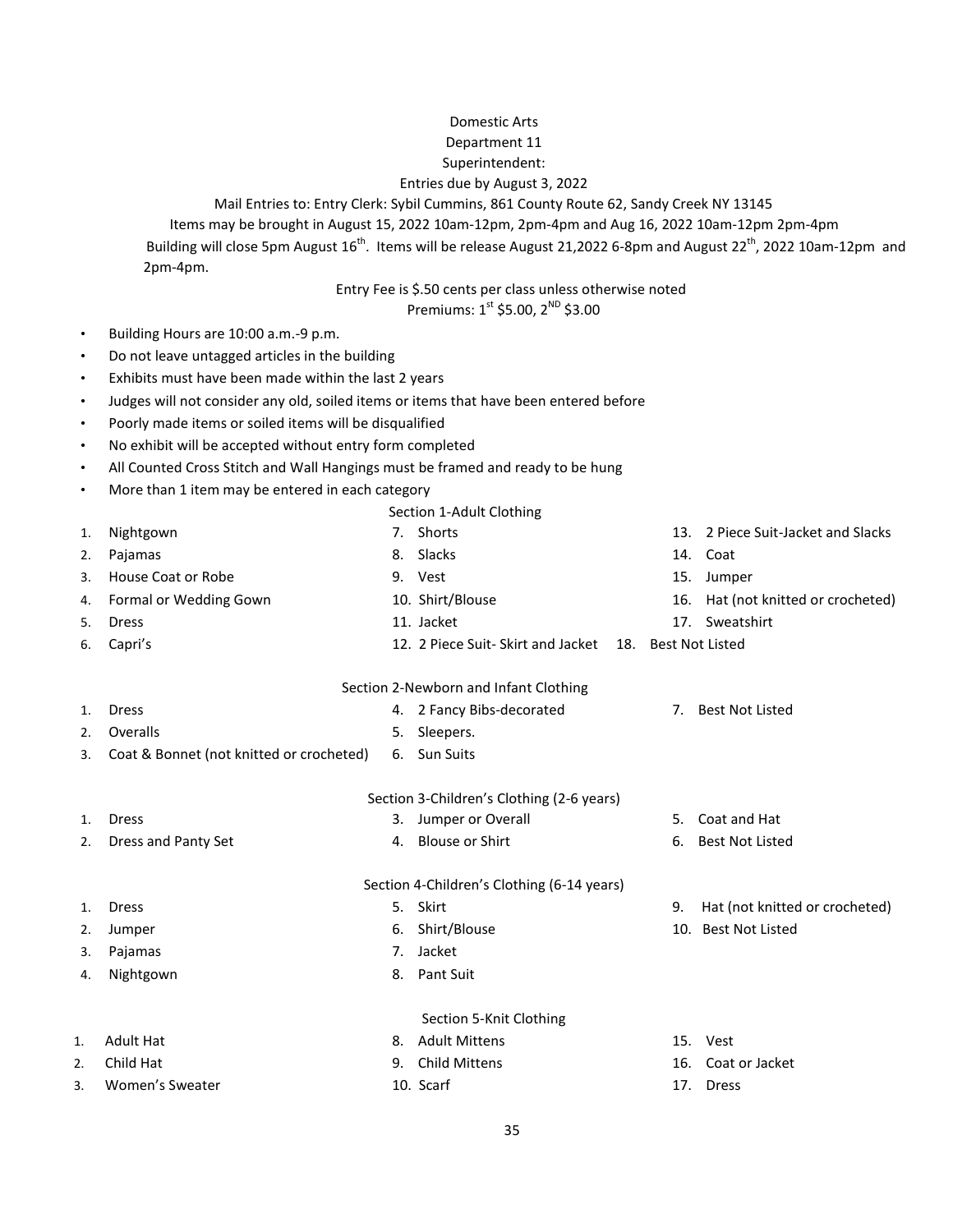## Domestic Arts

#### Department 11

#### Superintendent:

### Entries due by August 3, 2022

Mail Entries to: Entry Clerk: Sybil Cummins, 861 County Route 62, Sandy Creek NY 13145

Items may be brought in August 15, 2022 10am-12pm, 2pm-4pm and Aug 16, 2022 10am-12pm 2pm-4pm

Building will close 5pm August 16<sup>th</sup>. Items will be release August 21,2022 6-8pm and August 22<sup>th</sup>, 2022 10am-12pm and 2pm-4pm.

## Entry Fee is \$.50 cents per class unless otherwise noted

Premiums:  $1^{st}$  \$5.00,  $2^{ND}$  \$3.00

- Building Hours are 10:00 a.m.-9 p.m.
- Do not leave untagged articles in the building
- Exhibits must have been made within the last 2 years
- Judges will not consider any old, soiled items or items that have been entered before
- Poorly made items or soiled items will be disqualified
- No exhibit will be accepted without entry form completed
- All Counted Cross Stitch and Wall Hangings must be framed and ready to be hung
- More than 1 item may be entered in each category

|    |                                            |    | Section 1-Adult Clothing                              |     |                                |  |  |
|----|--------------------------------------------|----|-------------------------------------------------------|-----|--------------------------------|--|--|
| 1. | Nightgown                                  |    | 7. Shorts                                             | 13. | 2 Piece Suit-Jacket and Slacks |  |  |
| 2. | Pajamas                                    |    | 8. Slacks                                             |     | 14. Coat                       |  |  |
| 3. | House Coat or Robe                         |    | 9. Vest                                               | 15. | Jumper                         |  |  |
| 4. | Formal or Wedding Gown                     |    | 10. Shirt/Blouse                                      | 16. | Hat (not knitted or crocheted) |  |  |
| 5. | <b>Dress</b>                               |    | 11. Jacket                                            | 17. | Sweatshirt                     |  |  |
| 6. | Capri's                                    |    | 12. 2 Piece Suit-Skirt and Jacket 18. Best Not Listed |     |                                |  |  |
|    |                                            |    | Section 2-Newborn and Infant Clothing                 |     |                                |  |  |
| 1. | <b>Dress</b>                               |    | 4. 2 Fancy Bibs-decorated                             |     | 7. Best Not Listed             |  |  |
| 2. | Overalls                                   | 5. | Sleepers.                                             |     |                                |  |  |
| 3. | Coat & Bonnet (not knitted or crocheted)   |    | 6. Sun Suits                                          |     |                                |  |  |
|    |                                            |    | Section 3-Children's Clothing (2-6 years)             |     |                                |  |  |
| 1. | <b>Dress</b>                               |    | 3. Jumper or Overall                                  | 5.  | Coat and Hat                   |  |  |
| 2. | Dress and Panty Set                        | 4. | <b>Blouse or Shirt</b>                                | 6.  | <b>Best Not Listed</b>         |  |  |
|    | Section 4-Children's Clothing (6-14 years) |    |                                                       |     |                                |  |  |
| 1. | <b>Dress</b>                               | 5. | Skirt                                                 | 9.  | Hat (not knitted or crocheted) |  |  |
| 2. | Jumper                                     | 6. | Shirt/Blouse                                          |     | 10. Best Not Listed            |  |  |
| 3. | Pajamas                                    | 7. | Jacket                                                |     |                                |  |  |
| 4. | Nightgown                                  | 8. | Pant Suit                                             |     |                                |  |  |
|    |                                            |    | Section 5-Knit Clothing                               |     |                                |  |  |
| 1. | <b>Adult Hat</b>                           | 8. | <b>Adult Mittens</b>                                  |     | 15. Vest                       |  |  |
|    | Child Hat                                  | 9. | <b>Child Mittens</b>                                  | 16. | Coat or Jacket                 |  |  |
| 2. | Women's Sweater                            |    |                                                       |     |                                |  |  |
| 3. |                                            |    | 10. Scarf                                             | 17. | <b>Dress</b>                   |  |  |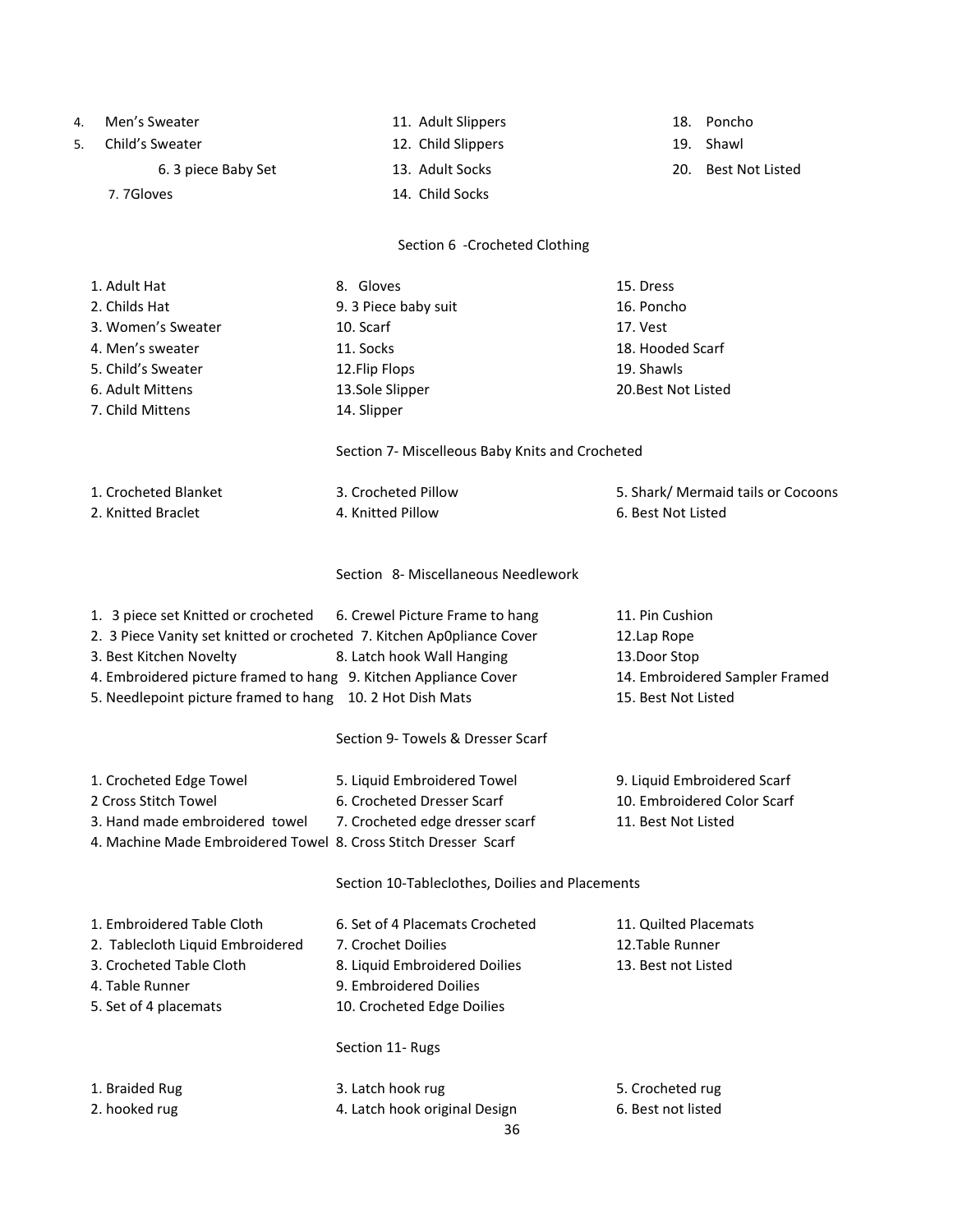| 4. | Men's Sweater                                                          | 11. Adult Slippers                              |                       | 18. Poncho                         |
|----|------------------------------------------------------------------------|-------------------------------------------------|-----------------------|------------------------------------|
| 5. | Child's Sweater                                                        | 12. Child Slippers                              |                       | 19. Shawl                          |
|    | 6. 3 piece Baby Set                                                    | 13. Adult Socks                                 |                       | 20. Best Not Listed                |
|    | 7. 7Gloves                                                             | 14. Child Socks                                 |                       |                                    |
|    |                                                                        | Section 6 - Crocheted Clothing                  |                       |                                    |
|    | 1. Adult Hat                                                           | 8. Gloves                                       | 15. Dress             |                                    |
|    | 2. Childs Hat                                                          | 9. 3 Piece baby suit                            | 16. Poncho            |                                    |
|    | 3. Women's Sweater                                                     | 10. Scarf                                       | 17. Vest              |                                    |
|    | 4. Men's sweater                                                       | 11. Socks                                       | 18. Hooded Scarf      |                                    |
|    | 5. Child's Sweater                                                     | 12.Flip Flops                                   | 19. Shawls            |                                    |
|    | 6. Adult Mittens                                                       | 13.Sole Slipper                                 | 20. Best Not Listed   |                                    |
|    | 7. Child Mittens                                                       | 14. Slipper                                     |                       |                                    |
|    |                                                                        | Section 7- Miscelleous Baby Knits and Crocheted |                       |                                    |
|    | 1. Crocheted Blanket                                                   | 3. Crocheted Pillow                             |                       | 5. Shark/ Mermaid tails or Cocoons |
|    | 2. Knitted Braclet                                                     | 4. Knitted Pillow                               | 6. Best Not Listed    |                                    |
|    |                                                                        | Section 8- Miscellaneous Needlework             |                       |                                    |
|    | 1. 3 piece set Knitted or crocheted                                    | 6. Crewel Picture Frame to hang                 | 11. Pin Cushion       |                                    |
|    | 2. 3 Piece Vanity set knitted or crocheted 7. Kitchen Ap0pliance Cover |                                                 | 12.Lap Rope           |                                    |
|    | 3. Best Kitchen Novelty                                                | 8. Latch hook Wall Hanging                      | 13.Door Stop          |                                    |
|    | 4. Embroidered picture framed to hang 9. Kitchen Appliance Cover       |                                                 |                       | 14. Embroidered Sampler Framed     |
|    | 5. Needlepoint picture framed to hang 10. 2 Hot Dish Mats              |                                                 | 15. Best Not Listed   |                                    |
|    |                                                                        | Section 9- Towels & Dresser Scarf               |                       |                                    |
|    | 1. Crocheted Edge Towel                                                | 5. Liquid Embroidered Towel                     |                       | 9. Liquid Embroidered Scarf        |
|    | 2 Cross Stitch Towel                                                   | 6. Crocheted Dresser Scarf                      |                       | 10. Embroidered Color Scarf        |
|    | 3. Hand made embroidered towel                                         | 7. Crocheted edge dresser scarf                 | 11. Best Not Listed   |                                    |
|    | 4. Machine Made Embroidered Towel 8. Cross Stitch Dresser Scarf        |                                                 |                       |                                    |
|    |                                                                        | Section 10-Tableclothes, Doilies and Placements |                       |                                    |
|    | 1. Embroidered Table Cloth                                             | 6. Set of 4 Placemats Crocheted                 | 11. Quilted Placemats |                                    |
|    | 2. Tablecloth Liquid Embroidered                                       | 7. Crochet Doilies                              | 12.Table Runner       |                                    |
|    | 3. Crocheted Table Cloth                                               | 8. Liquid Embroidered Doilies                   | 13. Best not Listed   |                                    |
|    | 4. Table Runner                                                        | 9. Embroidered Doilies                          |                       |                                    |
|    | 5. Set of 4 placemats                                                  | 10. Crocheted Edge Doilies                      |                       |                                    |
|    |                                                                        | Section 11- Rugs                                |                       |                                    |
|    | 1. Braided Rug                                                         | 3. Latch hook rug                               | 5. Crocheted rug      |                                    |
|    | 2. hooked rug                                                          | 4. Latch hook original Design                   | 6. Best not listed    |                                    |
|    |                                                                        | 36                                              |                       |                                    |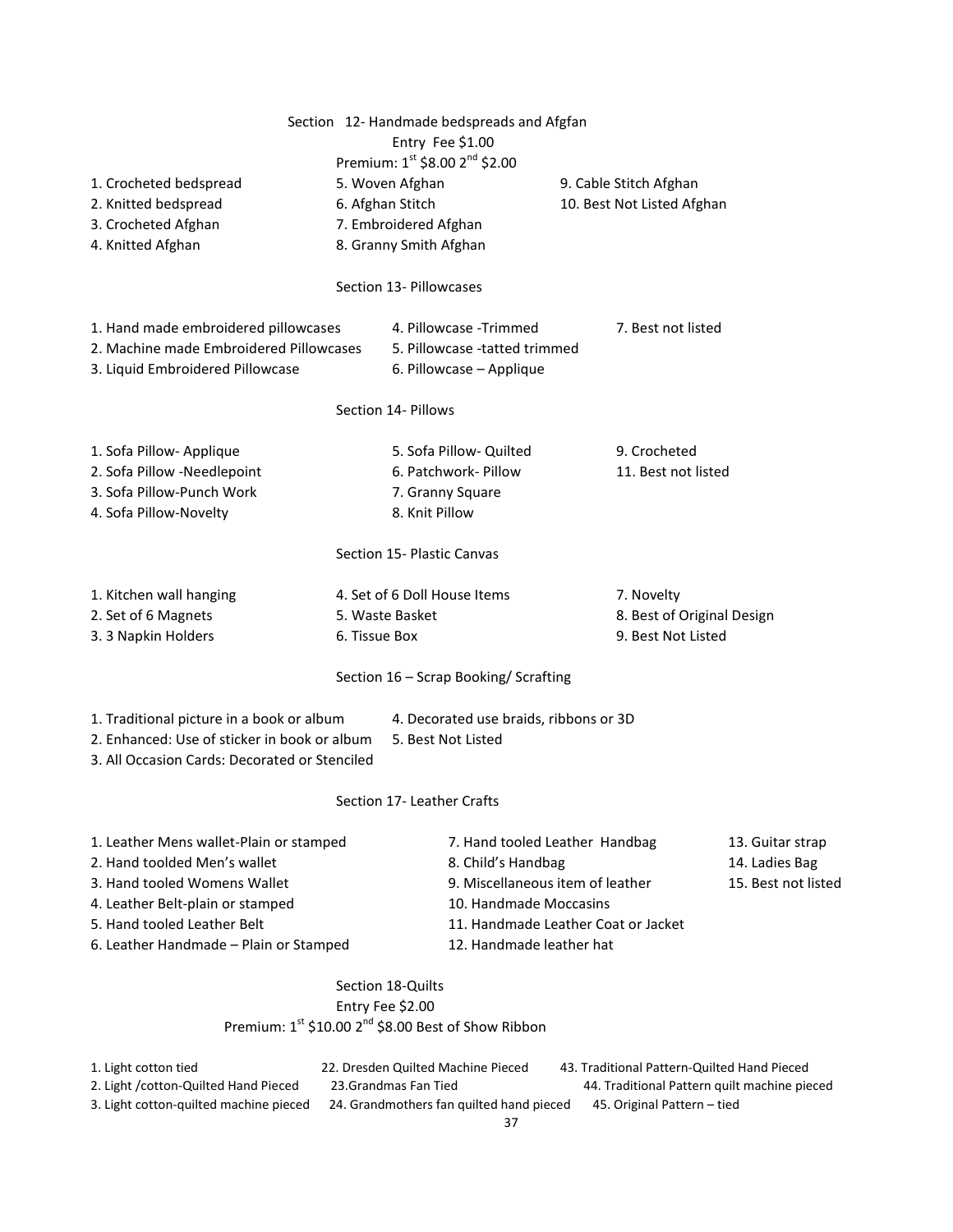|                                                                                                                                                                            |               | Entry Fee \$1.00                                                                                                                                          | Section 12- Handmade bedspreads and Afgfan<br>Premium: 1st \$8.00 2 <sup>nd</sup> \$2.00 |                                                           |                                             |                                              |
|----------------------------------------------------------------------------------------------------------------------------------------------------------------------------|---------------|-----------------------------------------------------------------------------------------------------------------------------------------------------------|------------------------------------------------------------------------------------------|-----------------------------------------------------------|---------------------------------------------|----------------------------------------------|
| 1. Crocheted bedspread                                                                                                                                                     |               | 5. Woven Afghan                                                                                                                                           |                                                                                          |                                                           | 9. Cable Stitch Afghan                      |                                              |
| 2. Knitted bedspread                                                                                                                                                       |               | 6. Afghan Stitch                                                                                                                                          |                                                                                          |                                                           | 10. Best Not Listed Afghan                  |                                              |
| 3. Crocheted Afghan                                                                                                                                                        |               | 7. Embroidered Afghan                                                                                                                                     |                                                                                          |                                                           |                                             |                                              |
| 4. Knitted Afghan                                                                                                                                                          |               | 8. Granny Smith Afghan                                                                                                                                    |                                                                                          |                                                           |                                             |                                              |
|                                                                                                                                                                            |               | Section 13- Pillowcases                                                                                                                                   |                                                                                          |                                                           |                                             |                                              |
| 1. Hand made embroidered pillowcases                                                                                                                                       |               |                                                                                                                                                           | 4. Pillowcase - Trimmed                                                                  |                                                           | 7. Best not listed                          |                                              |
| 2. Machine made Embroidered Pillowcases                                                                                                                                    |               | 5. Pillowcase -tatted trimmed                                                                                                                             |                                                                                          |                                                           |                                             |                                              |
| 3. Liquid Embroidered Pillowcase                                                                                                                                           |               |                                                                                                                                                           | 6. Pillowcase - Applique                                                                 |                                                           |                                             |                                              |
|                                                                                                                                                                            |               | Section 14- Pillows                                                                                                                                       |                                                                                          |                                                           |                                             |                                              |
| 1. Sofa Pillow- Applique                                                                                                                                                   |               |                                                                                                                                                           | 5. Sofa Pillow- Quilted                                                                  |                                                           | 9. Crocheted                                |                                              |
| 2. Sofa Pillow -Needlepoint                                                                                                                                                |               |                                                                                                                                                           | 6. Patchwork- Pillow                                                                     |                                                           | 11. Best not listed                         |                                              |
| 3. Sofa Pillow-Punch Work                                                                                                                                                  |               |                                                                                                                                                           | 7. Granny Square                                                                         |                                                           |                                             |                                              |
| 4. Sofa Pillow-Novelty                                                                                                                                                     |               | 8. Knit Pillow                                                                                                                                            |                                                                                          |                                                           |                                             |                                              |
|                                                                                                                                                                            |               | Section 15- Plastic Canvas                                                                                                                                |                                                                                          |                                                           |                                             |                                              |
| 1. Kitchen wall hanging                                                                                                                                                    |               |                                                                                                                                                           | 4. Set of 6 Doll House Items                                                             |                                                           | 7. Novelty                                  |                                              |
| 2. Set of 6 Magnets                                                                                                                                                        |               | 5. Waste Basket                                                                                                                                           |                                                                                          |                                                           | 8. Best of Original Design                  |                                              |
| 3. 3 Napkin Holders                                                                                                                                                        | 6. Tissue Box |                                                                                                                                                           |                                                                                          |                                                           | 9. Best Not Listed                          |                                              |
|                                                                                                                                                                            |               |                                                                                                                                                           | Section 16 - Scrap Booking/ Scrafting                                                    |                                                           |                                             |                                              |
| 1. Traditional picture in a book or album<br>2. Enhanced: Use of sticker in book or album<br>3. All Occasion Cards: Decorated or Stenciled                                 |               |                                                                                                                                                           | 4. Decorated use braids, ribbons or 3D<br>5. Best Not Listed                             |                                                           |                                             |                                              |
|                                                                                                                                                                            |               | Section 17 - Leather Crafts                                                                                                                               |                                                                                          |                                                           |                                             |                                              |
| 1. Leather Mens wallet-Plain or stamped<br>2. Hand toolded Men's wallet<br>3. Hand tooled Womens Wallet<br>4. Leather Belt-plain or stamped<br>5. Hand tooled Leather Belt |               | 7. Hand tooled Leather Handbag<br>8. Child's Handbag<br>9. Miscellaneous item of leather<br>10. Handmade Moccasins<br>11. Handmade Leather Coat or Jacket |                                                                                          | 13. Guitar strap<br>14. Ladies Bag<br>15. Best not listed |                                             |                                              |
| 6. Leather Handmade - Plain or Stamped                                                                                                                                     |               | 12. Handmade leather hat                                                                                                                                  |                                                                                          |                                                           |                                             |                                              |
|                                                                                                                                                                            |               | Section 18-Quilts                                                                                                                                         |                                                                                          |                                                           |                                             |                                              |
|                                                                                                                                                                            |               | Entry Fee \$2.00                                                                                                                                          | Premium: $1^{st}$ \$10.00 $2^{nd}$ \$8.00 Best of Show Ribbon                            |                                                           |                                             |                                              |
| 1. Light cotton tied                                                                                                                                                       |               |                                                                                                                                                           | 22. Dresden Quilted Machine Pieced                                                       |                                                           | 43. Traditional Pattern-Quilted Hand Pieced |                                              |
| 2. Light / cotton-Quilted Hand Pieced                                                                                                                                      |               | 23. Grandmas Fan Tied                                                                                                                                     |                                                                                          |                                                           |                                             | 44. Traditional Pattern quilt machine pieced |
| 3. Light cotton-quilted machine pieced                                                                                                                                     |               |                                                                                                                                                           | 24. Grandmothers fan quilted hand pieced                                                 |                                                           | 45. Original Pattern - tied                 |                                              |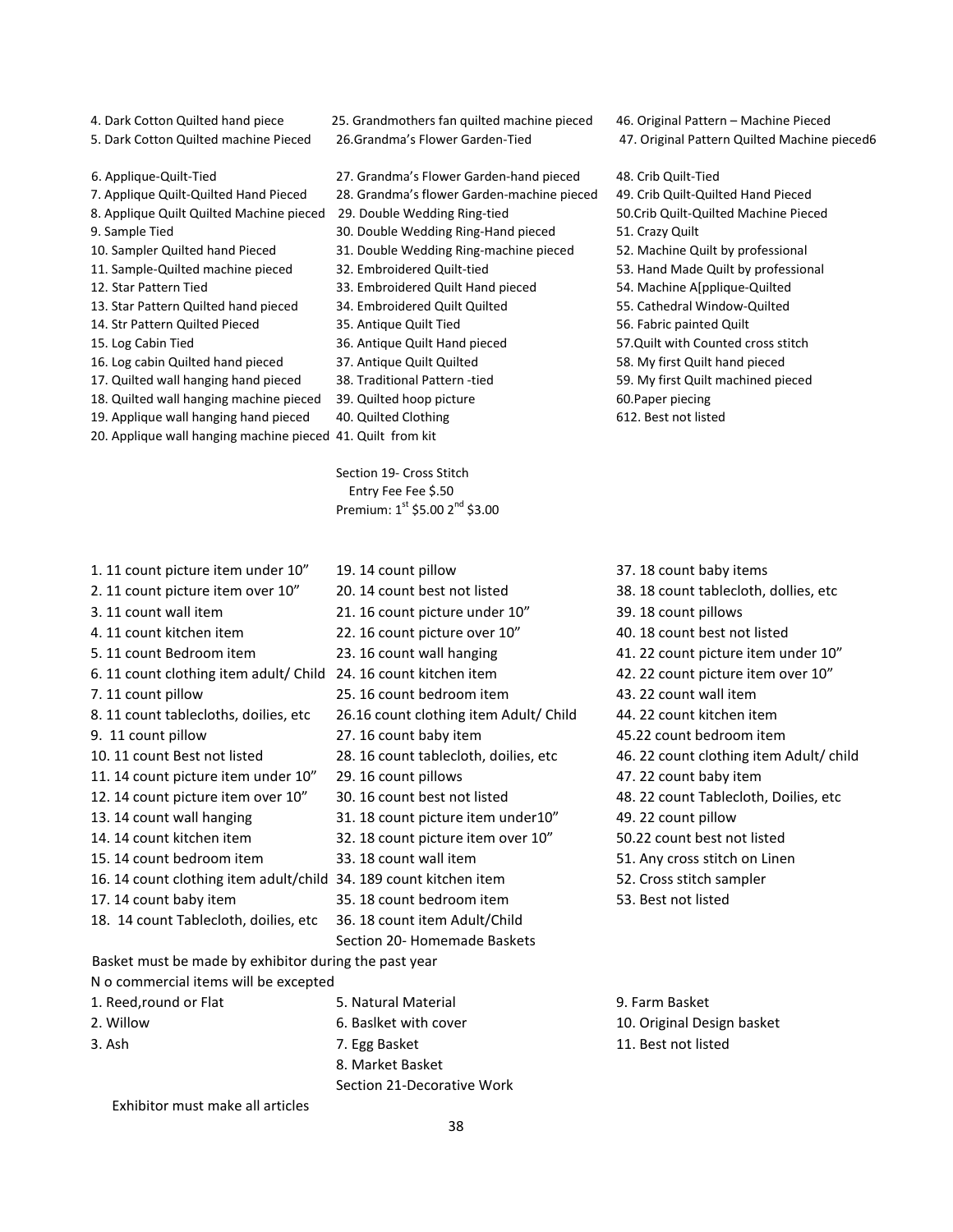4. Dark Cotton Quilted hand piece 25. Grandmothers fan quilted machine pieced 46. Original Pattern – Machine Pieced 5. Dark Cotton Quilted machine Pieced 26.Grandma's Flower Garden-Tied 47. Original Pattern Quilted Machine pieced6 6. Applique-Quilt-Tied 27. Grandma's Flower Garden-hand pieced 48. Crib Quilt-Tied 7. Applique Quilt-Quilted Hand Pieced 28. Grandma's flower Garden-machine pieced 49. Crib Quilt-Quilted Hand Pieced 8. Applique Quilt Quilted Machine pieced 29. Double Wedding Ring-tied 50.Crib Quilt-Quilted Machine Pieced 9. Sample Tied 30. Double Wedding Ring-Hand pieced 51. Crazy Quilt 10. Sampler Quilted hand Pieced 31. Double Wedding Ring-machine pieced 52. Machine Quilt by professional 11. Sample-Quilted machine pieced 32. Embroidered Quilt-tied 53. Hand Made Quilt by professional 12. Star Pattern Tied 33. Embroidered Quilt Hand pieced 54. Machine A[pplique-Quilted 13. Star Pattern Quilted hand pieced 34. Embroidered Quilt Quilted 55. Cathedral Window-Quilted 14. Str Pattern Quilted Pieced 35. Antique Quilt Tied 56. Fabric painted Quilt 15. Log Cabin Tied 36. Antique Quilt Hand pieced 57.Quilt with Counted cross stitch 16. Log cabin Quilted hand pieced 37. Antique Quilt Quilted 58. My first Quilt hand pieced 17. Quilted wall hanging hand pieced 38. Traditional Pattern -tied 59. My first Quilt machined pieced 18. Quilted wall hanging machine pieced 39. Quilted hoop picture 60.Paper piecing 19. Applique wall hanging hand pieced 40. Quilted Clothing 612. Best not listed 20. Applique wall hanging machine pieced 41. Quilt from kit Section 19- Cross Stitch Entry Fee Fee \$.50 Premium:  $1^{st}$  \$5.00  $2^{nd}$  \$3.00 1. 11 count picture item under 10" 19. 14 count pillow 37. 18 count baby items 2. 11 count picture item over 10" 20. 14 count best not listed 38. 18 count tablecloth, dollies, etc 3. 11 count wall item 21. 16 count picture under 10" 39. 18 count pillows 4. 11 count kitchen item 22. 16 count picture over 10" 40. 18 count best not listed 5. 11 count Bedroom item 23. 16 count wall hanging 41. 22 count picture item under 10" 6. 11 count clothing item adult/ Child 24. 16 count kitchen item 42. 22 count picture item over 10"

7. 11 count pillow 25. 16 count bedroom item 43. 22 count wall item 8. 11 count tablecloths, doilies, etc 26.16 count clothing item Adult/ Child 44. 22 count kitchen item 9. 11 count pillow 27. 16 count baby item 45.22 count bedroom item 10. 11 count Best not listed 28. 16 count tablecloth, doilies, etc 46. 22 count clothing item Adult/ child 11. 14 count picture item under 10" 29. 16 count pillows 47. 22 count baby item 12. 14 count picture item over 10" 30. 16 count best not listed 48. 22 count Tablecloth, Doilies, etc 13. 14 count wall hanging 31. 18 count picture item under10" 49. 22 count pillow 14. 14 count kitchen item 32. 18 count picture item over 10" 50.22 count best not listed 15. 14 count bedroom item 33. 18 count wall item 51. Any cross stitch on Linen 16. 14 count clothing item adult/child 34. 189 count kitchen item 52. Cross stitch sampler 17. 14 count baby item 35. 18 count bedroom item 53. Best not listed 18. 14 count Tablecloth, doilies, etc 36. 18 count item Adult/Child Basket must be made by exhibitor during the past year N o commercial items will be excepted 1. Reed,round or Flat 5. Natural Material 9. Farm Basket 2. Willow **6. Basiket with cover** 10. Original Design basket 3. Ash 11. Best not listed 12. Ash 11. Best not listed 8. Market Basket

Section 20- Homemade Baskets Section 21-Decorative Work 38

- 
- 
- 

- 
- 
- 
- 
- 
- 
- 
- 
- 
- 
- 
- 
- 
- 
- 
- 
- 

- 
-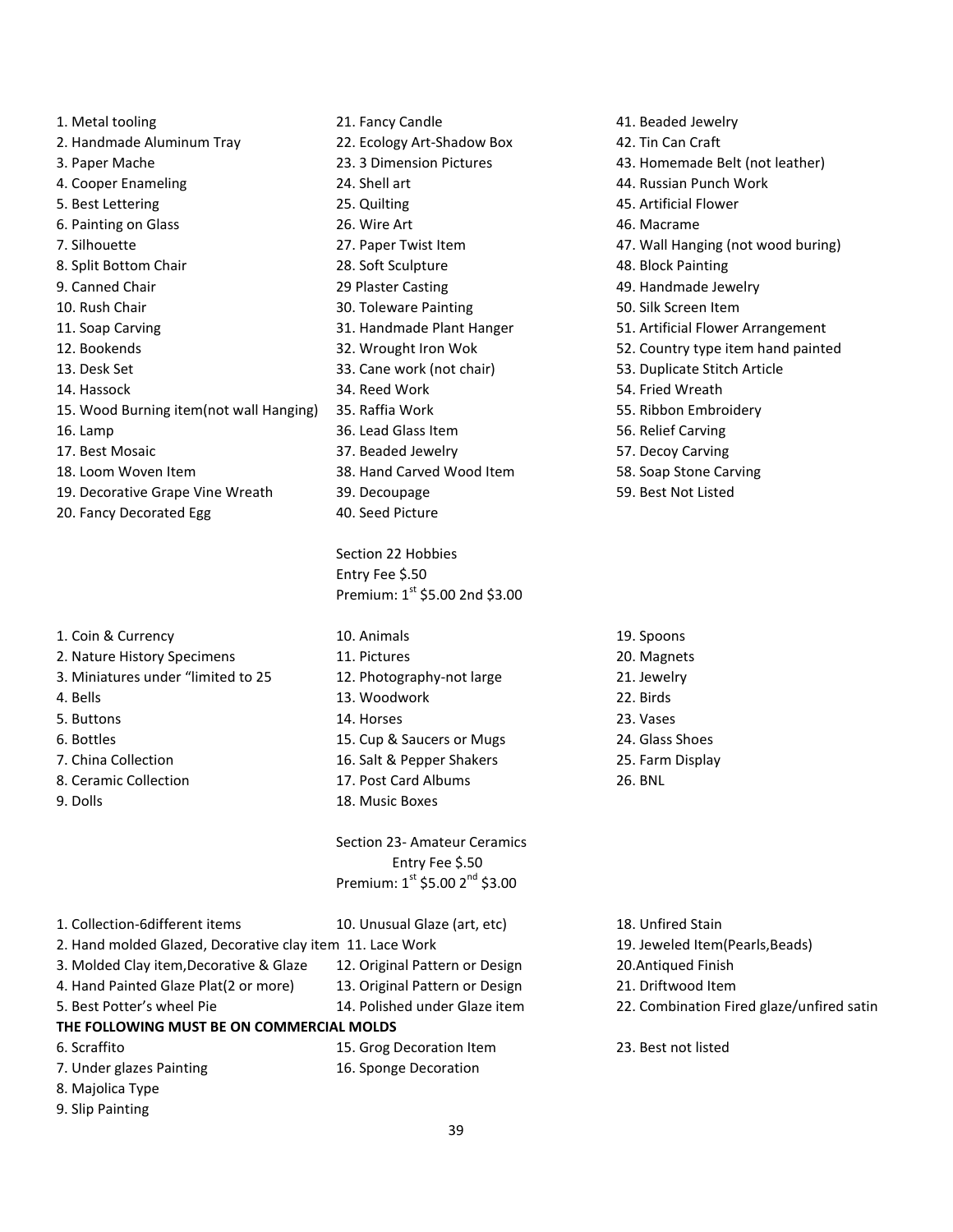| 1. Metal tooling                        | 21. Fancy Candle  |
|-----------------------------------------|-------------------|
| 2. Handmade Aluminum Tray               | 22. Ecology Art-9 |
| 3. Paper Mache                          | 23. 3 Dimension   |
| 4. Cooper Enameling                     | 24. Shell art     |
| 5. Best Lettering                       | 25. Quilting      |
| 6. Painting on Glass                    | 26. Wire Art      |
| 7. Silhouette                           | 27. Paper Twist   |
| 8. Split Bottom Chair                   | 28. Soft Sculptur |
| 9. Canned Chair                         | 29 Plaster Castir |
| 10. Rush Chair                          | 30. Toleware Pai  |
| 11. Soap Carving                        | 31. Handmade P    |
| 12. Bookends                            | 32. Wrought Iro   |
| 13. Desk Set                            | 33. Cane work (r  |
| 14. Hassock                             | 34. Reed Work     |
| 15. Wood Burning item(not wall Hanging) | 35. Raffia Work   |
| 16. Lamp                                | 36. Lead Glass It |
| 17. Best Mosaic                         | 37. Beaded Jewe   |
| 18. Loom Woven Item                     | 38. Hand Carved   |
| 19. Decorative Grape Vine Wreath        | 39. Decoupage     |
| 20. Fancy Decorated Egg                 | 40. Seed Picture  |

- 
- 1. Coin & Currency 10. Animals 19. Spoons 2. Nature History Specimens 11. Pictures 20. Magnets 3. Miniatures under "limited to 25 12. Photography-not large 21. Jewelry 4. Bells 13. Woodwork 22. Birds 5. Buttons 14. Horses 23. Vases 6. Bottles 15. Cup & Saucers or Mugs 24. Glass Shoes 7. China Collection 16. Salt & Pepper Shakers 25. Farm Display 8. Ceramic Collection 17. Post Card Albums 26. BNL
- 9. Dolls 18. Music Boxes

21. Fancy Candle **41. Beaded Jewelry** 22. Ecology Art-Shadow Box 42. Tin Can Craft 24. Shell art **Analyzis 24. Shell art** 44. Russian Punch Work 25. Quilting 25. Artificial Flower 6. Painting on Glass 26. Wire Art 46. Macrame 28. Soft Sculpture 48. Block Painting 29 Plaster Casting 29 Plaster Casting 29 Plaster Casting 29. Handmade Jewelry 10. Toleware Painting 10. Rush Chair 30. Silk Screen Item 13. Cane work (not chair) 53. Duplicate Stitch Article 14. Reed Work 54. Fried Wreath 15. Raffia Work 55. Ribbon Embroidery 16. Lamp 36. Lead Glass Item 56. Relief Carving 37. Beaded Jewelry 67. Decoy Carving 18. Hand Carved Wood Item 58. Soap Stone Carving 19. Decoupage 19. Company 19. Best Not Listed

Section 22 Hobbies Entry Fee \$.50 Premium:  $1^{st}$  \$5.00 2nd \$3.00

Section 23- Amateur Ceramics Entry Fee \$.50 Premium:  $1^{st}$  \$5.00  $2^{nd}$  \$3.00

| 1. Collection-6different items                            | 10. Unusual Glaze (art, etc)   |  |  |  |  |
|-----------------------------------------------------------|--------------------------------|--|--|--|--|
| 2. Hand molded Glazed, Decorative clay item 11. Lace Work |                                |  |  |  |  |
| 3. Molded Clay item, Decorative & Glaze                   | 12. Original Pattern or Design |  |  |  |  |
| 4. Hand Painted Glaze Plat(2 or more)                     | 13. Original Pattern or Design |  |  |  |  |
| 5. Best Potter's wheel Pie                                | 14. Polished under Glaze item  |  |  |  |  |
| THE FOLLOWING MUST BE ON COMMERCIAL MOLDS                 |                                |  |  |  |  |
| 6. Scraffito                                              | 15. Grog Decoration Item       |  |  |  |  |
| 7. Under glazes Painting                                  | 16. Sponge Decoration          |  |  |  |  |
| 8. Majolica Type                                          |                                |  |  |  |  |
| 9. Slip Painting                                          |                                |  |  |  |  |

23. 3 Dimension Pictures 43. Homemade Belt (not leather) 27. Paper Twist Item **1988 120 Millon**ging (not wood buring) 31. Handmade Plant Hanger 51. Artificial Flower Arrangement 12. Wrought Iron Wok 52. Country type item hand painted

- 
- 18. Unfired Stain
- 19. Jeweled Item(Pearls,Beads) 20. Antiqued Finish 21. Driftwood Item 22. Combination Fired glaze/unfired satin 23. Best not listed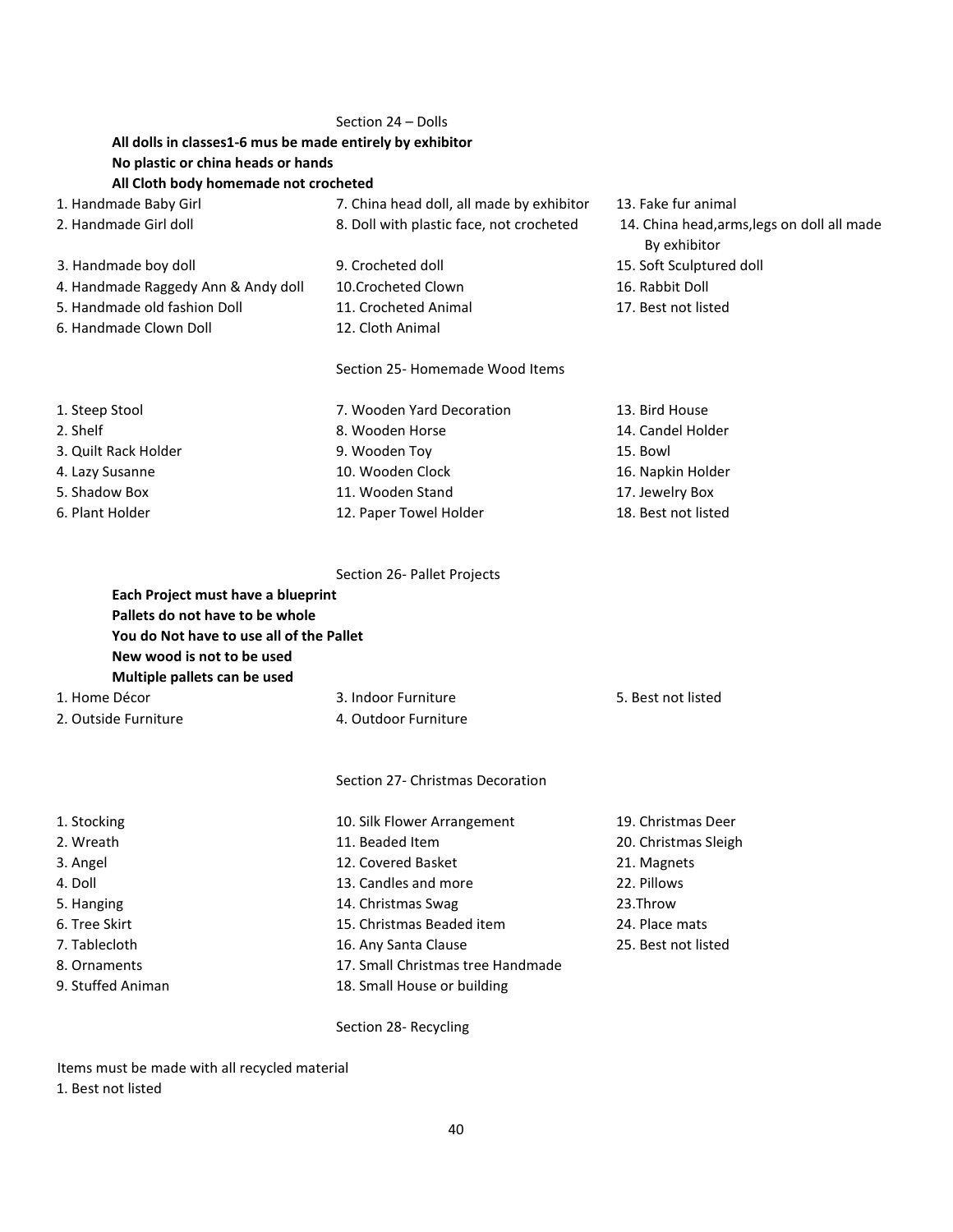|                                                           | Section 24 - Dolls                        |                                                             |  |  |  |  |  |
|-----------------------------------------------------------|-------------------------------------------|-------------------------------------------------------------|--|--|--|--|--|
| All dolls in classes1-6 mus be made entirely by exhibitor |                                           |                                                             |  |  |  |  |  |
| No plastic or china heads or hands                        |                                           |                                                             |  |  |  |  |  |
| All Cloth body homemade not crocheted                     |                                           |                                                             |  |  |  |  |  |
| 1. Handmade Baby Girl                                     | 7. China head doll, all made by exhibitor | 13. Fake fur animal                                         |  |  |  |  |  |
| 2. Handmade Girl doll                                     | 8. Doll with plastic face, not crocheted  | 14. China head, arms, legs on doll all made<br>By exhibitor |  |  |  |  |  |
| 3. Handmade boy doll                                      | 9. Crocheted doll                         | 15. Soft Sculptured doll                                    |  |  |  |  |  |
| 4. Handmade Raggedy Ann & Andy doll                       | 10. Crocheted Clown                       | 16. Rabbit Doll                                             |  |  |  |  |  |
| 5. Handmade old fashion Doll                              | 11. Crocheted Animal                      | 17. Best not listed                                         |  |  |  |  |  |
| 6. Handmade Clown Doll                                    | 12. Cloth Animal                          |                                                             |  |  |  |  |  |
|                                                           | Section 25- Homemade Wood Items           |                                                             |  |  |  |  |  |
| 1. Steep Stool                                            | 7. Wooden Yard Decoration                 | 13. Bird House                                              |  |  |  |  |  |
| 2. Shelf                                                  | 8. Wooden Horse                           | 14. Candel Holder                                           |  |  |  |  |  |
| 3. Quilt Rack Holder                                      | 9. Wooden Toy                             | 15. Bowl                                                    |  |  |  |  |  |
| 4. Lazy Susanne                                           | 10. Wooden Clock                          | 16. Napkin Holder                                           |  |  |  |  |  |
| 5. Shadow Box                                             | 11. Wooden Stand                          | 17. Jewelry Box                                             |  |  |  |  |  |
| 6. Plant Holder                                           | 12. Paper Towel Holder                    | 18. Best not listed                                         |  |  |  |  |  |
|                                                           | Section 26- Pallet Projects               |                                                             |  |  |  |  |  |
| Each Project must have a blueprint                        |                                           |                                                             |  |  |  |  |  |
| Pallets do not have to be whole                           |                                           |                                                             |  |  |  |  |  |
| You do Not have to use all of the Pallet                  |                                           |                                                             |  |  |  |  |  |
| New wood is not to be used                                |                                           |                                                             |  |  |  |  |  |
| Multiple pallets can be used                              |                                           |                                                             |  |  |  |  |  |
| 1. Home Décor                                             | 3. Indoor Furniture                       | 5. Best not listed                                          |  |  |  |  |  |
| 2. Outside Furniture                                      | 4. Outdoor Furniture                      |                                                             |  |  |  |  |  |
|                                                           |                                           |                                                             |  |  |  |  |  |
|                                                           | Section 27- Christmas Decoration          |                                                             |  |  |  |  |  |
| 1. Stocking                                               | 10. Silk Flower Arrangement               | 19. Christmas Deer                                          |  |  |  |  |  |
| 2. Wreath                                                 | 11. Beaded Item                           | 20. Christmas Sleigh                                        |  |  |  |  |  |
| 3. Angel                                                  | 12. Covered Basket                        | 21. Magnets                                                 |  |  |  |  |  |
| 4. Doll                                                   | 13. Candles and more                      | 22. Pillows                                                 |  |  |  |  |  |
| 5. Hanging                                                | 14. Christmas Swag                        | 23.Throw                                                    |  |  |  |  |  |
| 6. Tree Skirt                                             | 15. Christmas Beaded item                 | 24. Place mats                                              |  |  |  |  |  |
| 7. Tablecloth                                             | 16. Any Santa Clause                      | 25. Best not listed                                         |  |  |  |  |  |
| 8. Ornaments                                              | 17. Small Christmas tree Handmade         |                                                             |  |  |  |  |  |
| 9. Stuffed Animan                                         | 18. Small House or building               |                                                             |  |  |  |  |  |
|                                                           |                                           |                                                             |  |  |  |  |  |

Section 28- Recycling

Items must be made with all recycled material

1. Best not listed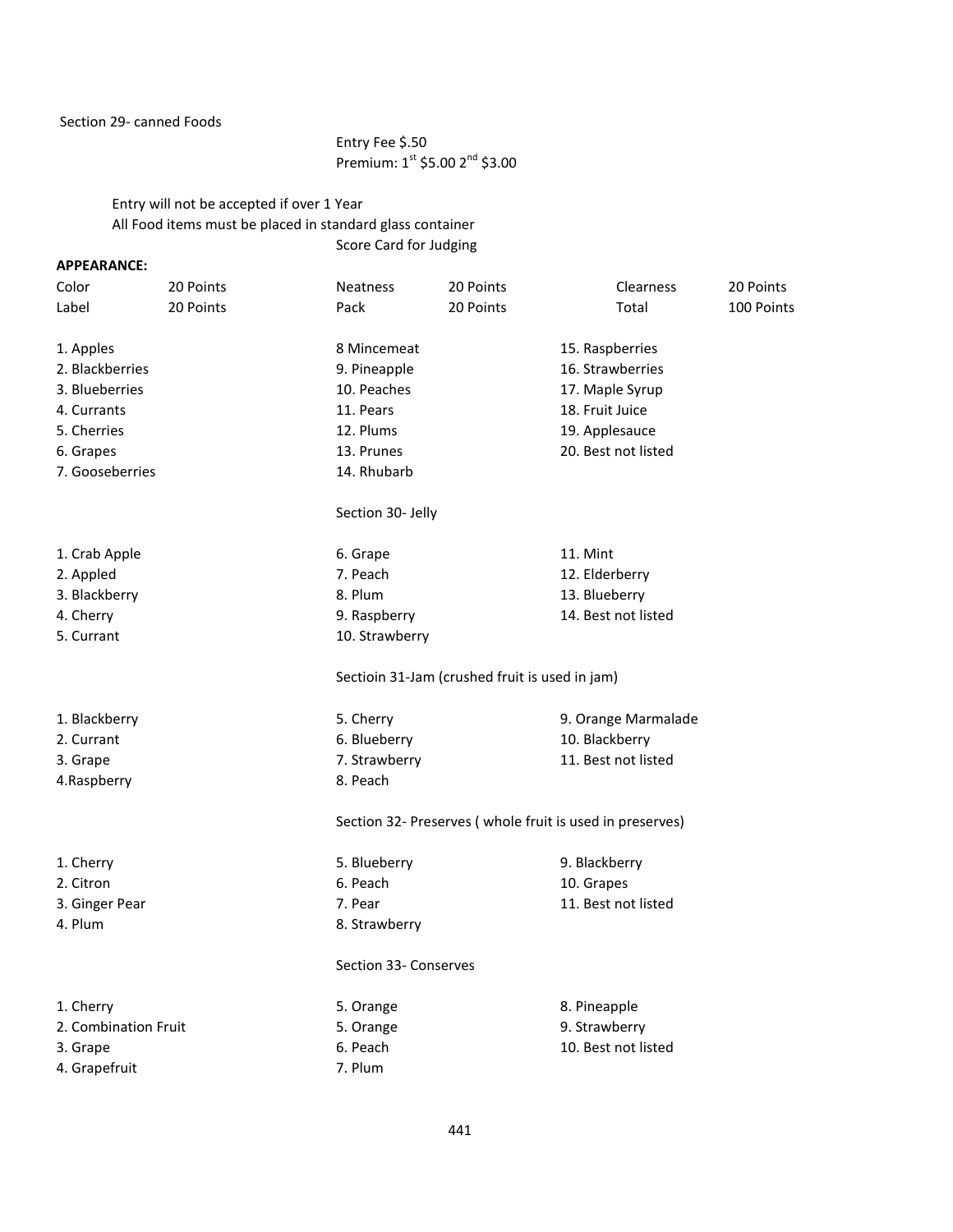Section 29- canned Foods

## Entry Fee \$.50 Premium: 1<sup>st</sup> \$5.00 2<sup>nd</sup> \$3.00

Entry will not be accepted if over 1 Year All Food items must be placed in standard glass container Score Card for Judging

### **APPEARANCE:**

| Color                | 20 Points | <b>Neatness</b>       | 20 Points                                      | <b>Clearness</b>                                         | 20 Points  |
|----------------------|-----------|-----------------------|------------------------------------------------|----------------------------------------------------------|------------|
| Label                | 20 Points | Pack                  | 20 Points                                      | Total                                                    | 100 Points |
| 1. Apples            |           | 8 Mincemeat           |                                                | 15. Raspberries                                          |            |
| 2. Blackberries      |           | 9. Pineapple          |                                                | 16. Strawberries                                         |            |
| 3. Blueberries       |           | 10. Peaches           |                                                | 17. Maple Syrup                                          |            |
| 4. Currants          |           | 11. Pears             |                                                | 18. Fruit Juice                                          |            |
| 5. Cherries          |           | 12. Plums             |                                                | 19. Applesauce                                           |            |
| 6. Grapes            |           | 13. Prunes            |                                                | 20. Best not listed                                      |            |
| 7. Gooseberries      |           | 14. Rhubarb           |                                                |                                                          |            |
|                      |           | Section 30- Jelly     |                                                |                                                          |            |
| 1. Crab Apple        |           | 6. Grape              |                                                | 11. Mint                                                 |            |
| 2. Appled            |           | 7. Peach              |                                                | 12. Elderberry                                           |            |
| 3. Blackberry        |           | 8. Plum               |                                                | 13. Blueberry                                            |            |
| 4. Cherry            |           | 9. Raspberry          |                                                | 14. Best not listed                                      |            |
| 5. Currant           |           | 10. Strawberry        |                                                |                                                          |            |
|                      |           |                       | Sectioin 31-Jam (crushed fruit is used in jam) |                                                          |            |
| 1. Blackberry        |           | 5. Cherry             |                                                | 9. Orange Marmalade                                      |            |
| 2. Currant           |           | 6. Blueberry          |                                                | 10. Blackberry                                           |            |
| 3. Grape             |           | 7. Strawberry         |                                                | 11. Best not listed                                      |            |
| 4.Raspberry          |           | 8. Peach              |                                                |                                                          |            |
|                      |           |                       |                                                | Section 32- Preserves (whole fruit is used in preserves) |            |
| 1. Cherry            |           | 5. Blueberry          |                                                | 9. Blackberry                                            |            |
| 2. Citron            |           | 6. Peach              |                                                | 10. Grapes                                               |            |
| 3. Ginger Pear       |           | 7. Pear               |                                                | 11. Best not listed                                      |            |
| 4. Plum              |           | 8. Strawberry         |                                                |                                                          |            |
|                      |           | Section 33- Conserves |                                                |                                                          |            |
| 1. Cherry            |           | 5. Orange             |                                                | 8. Pineapple                                             |            |
| 2. Combination Fruit |           | 5. Orange             |                                                | 9. Strawberry                                            |            |
| 3. Grape             |           | 6. Peach              |                                                | 10. Best not listed                                      |            |
| 4. Grapefruit        |           | 7. Plum               |                                                |                                                          |            |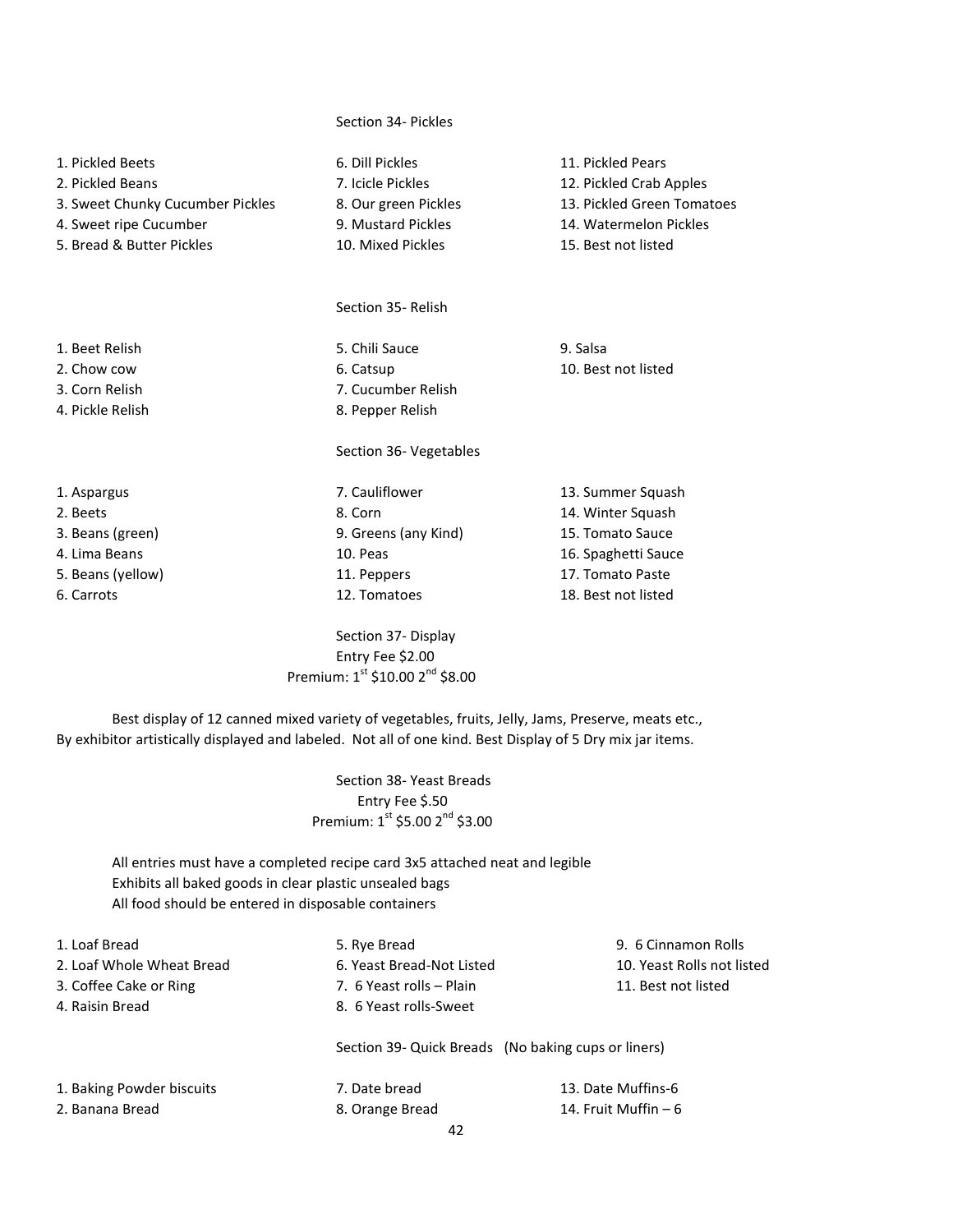# 1. Pickled Beets 6. Dill Pickles 11. Pickled Pears 2. Pickled Beans 7. Icicle Pickles 12. Pickled Crab Apples 3. Sweet Chunky Cucumber Pickles 8. Our green Pickles 13. Pickled Green Tomatoes 4. Sweet ripe Cucumber 9. Mustard Pickles 14. Watermelon Pickles 5. Bread & Butter Pickles 10. Mixed Pickles 15. Best not listed Section 35- Relish 1. Beet Relish 5. Chili Sauce 9. Salsa 2. Chow cow 6. Catsup 6. Catsup 10. Best not listed 3. Corn Relish 7. Cucumber Relish 4. Pickle Relish 8. Pepper Relish Section 36- Vegetables 1. Aspargus 13. Summer Squash 1. Aspargus 13. Summer Squash 1. Aspargus 13. Summer Squash 1. 2. Beets and the state of the state 8. Corn and the squash of the squash state 8. Corn and the squash 3. Corn and the squash 3. Corn and 14. Winter Squash 3. Beans (green) 9. Greens (any Kind) 15. Tomato Sauce 4. Lima Beans 10. Peas 10. Peas 16. Spaghetti Sauce 5. Beans (yellow) 11. Peppers 17. Tomato Paste 6. Carrots 12. Tomatoes 18. Best not listed

Section 34- Pickles

Section 37- Display Entry Fee \$2.00 Premium:  $1^{st}$  \$10.00  $2^{nd}$  \$8.00

Best display of 12 canned mixed variety of vegetables, fruits, Jelly, Jams, Preserve, meats etc., By exhibitor artistically displayed and labeled. Not all of one kind. Best Display of 5 Dry mix jar items.

> Section 38- Yeast Breads Entry Fee \$.50 Premium:  $1^{\text{st}}$  \$5.00  $2^{\text{nd}}$  \$3.00

All entries must have a completed recipe card 3x5 attached neat and legible Exhibits all baked goods in clear plastic unsealed bags All food should be entered in disposable containers

| 1. Loaf Bread             | 5. Rye Bread                                        | 9. 6 Cinnamon Rolls        |
|---------------------------|-----------------------------------------------------|----------------------------|
| 2. Loaf Whole Wheat Bread | 6. Yeast Bread-Not Listed                           | 10. Yeast Rolls not listed |
| 3. Coffee Cake or Ring    | 7. 6 Yeast rolls - Plain                            | 11. Best not listed        |
| 4. Raisin Bread           | 8. 6 Yeast rolls-Sweet                              |                            |
|                           | Section 39- Quick Breads (No baking cups or liners) |                            |
| 1. Baking Powder biscuits | 7. Date bread                                       | 13. Date Muffins-6         |
| 2. Banana Bread           | 8. Orange Bread                                     | 14. Fruit Muffin $-6$      |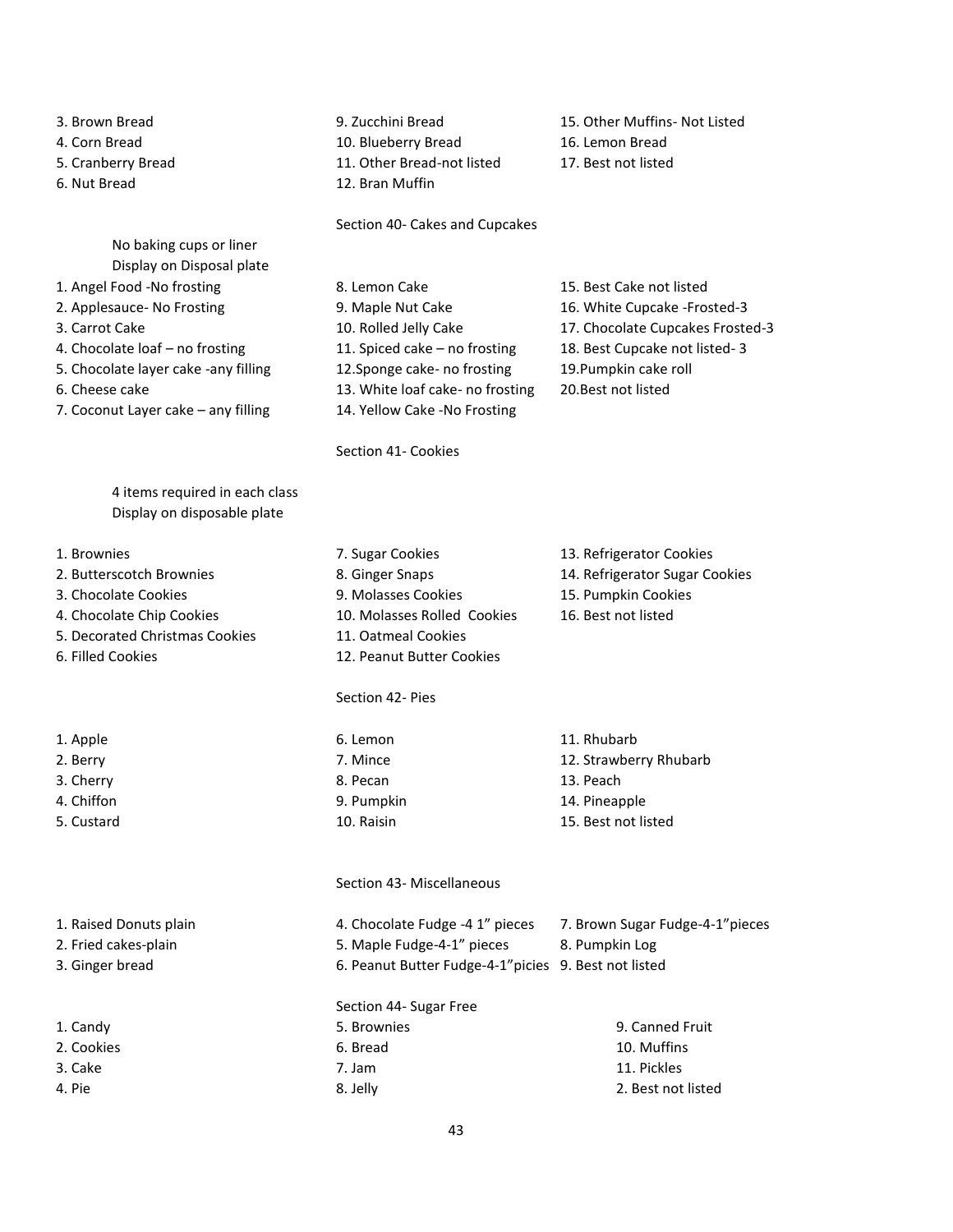- 
- 
- 
- 

No baking cups or liner Display on Disposal plate

- 
- 
- 
- 
- 5. Chocolate layer cake -any filling 12.Sponge cake- no frosting 19.Pumpkin cake roll
- 
- 7. Coconut Layer cake any filling 14. Yellow Cake -No Frosting

4 items required in each class Display on disposable plate

- 
- 
- 
- 
- 5. Decorated Christmas Cookies 11. Oatmeal Cookies
- 

- 
- 
- 

- 2. Fried cakes-plain 5. 3. Ginger bread 6.
- 
- 
- 
- 
- 

4. Corn Bread 10. Blueberry Bread 16. Lemon Bread 5. Cranberry Bread 11. Other Bread-not listed 17. Best not listed 6. Nut Bread 12. Bran Muffin

Section 40- Cakes and Cupcakes

1. Angel Food -No frosting 8. Lemon Cake 15. Best Cake not listed 2. Applesauce- No Frosting 16. Waple Nut Cake 16. White Cupcake -Frosted-3 4. Chocolate loaf – no frosting 11. Spiced cake – no frosting 18. Best Cupcake not listed- 3 6. Cheese cake 13. White loaf cake- no frosting 20.Best not listed

Section 41- Cookies

3. Brown Bread 9. Zucchini Bread 15. Other Muffins- Not Listed

3. Carrot Cake 10. Rolled Jelly Cake 17. Chocolate Cupcakes Frosted-3

- 1. Brownies 7. Sugar Cookies 13. Refrigerator Cookies 2. Butterscotch Brownies 8. Ginger Snaps 14. Refrigerator Sugar Cookies 3. Chocolate Cookies 9. Molasses Cookies 15. Pumpkin Cookies 4. Chocolate Chip Cookies 10. Molasses Rolled Cookies 16. Best not listed
- 6. Filled Cookies 12. Peanut Butter Cookies

#### Section 42- Pies

1. Apple 6. Lemon 11. Rhubarb 6. Lemon 11. Rhubarb 2. Berry **12. Strawberry Rhubarb** 7. Mince 12. Strawberry Rhubarb 3. Cherry 13. Peach 2014 13. Peach 2. Peach 2. Peach 2. Peach 2. Peach 3. Peach 4. Chiffon **14. Pineapple** 14. Pineapple 5. Custard 10. Raisin 15. Best not listed

#### Section 43- Miscellaneous

| 1. Raised Donuts plain | 4. Chocolate Fudge -4 1" pieces                       | 7. Brown Sugar Fudge-4-1"pieces |
|------------------------|-------------------------------------------------------|---------------------------------|
| 2. Fried cakes-plain   | 5. Maple Fudge-4-1" pieces                            | 8. Pumpkin Log                  |
| 3. Ginger bread        | 6. Peanut Butter Fudge-4-1" picies 9. Best not listed |                                 |
|                        | Section 44- Sugar Free                                |                                 |
| 1. Candy               | 5. Brownies                                           | 9. Canned Fruit                 |
| 2. Cookies             | 6. Bread                                              | 10. Muffins                     |
| 3. Cake                | 7. Jam                                                | 11. Pickles                     |
| 4. Pie                 | 8. Jelly                                              | 2. Best not listed              |